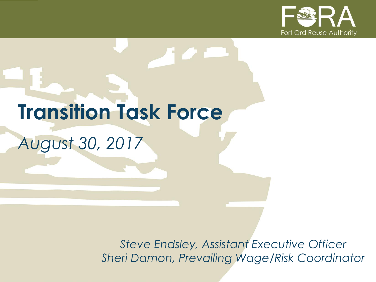

# **Transition Task Force** *August 30, 2017*

*Steve Endsley, Assistant Executive Officer Sheri Damon, Prevailing Wage/Risk Coordinator*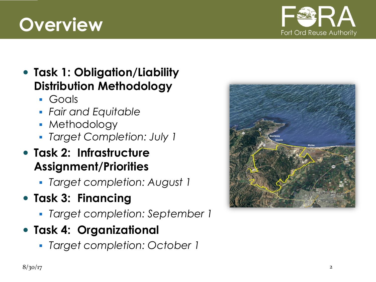# **Overview**



#### **Task 1: Obligation/Liability Distribution Methodology**

- Goals
- *Fair and Equitable*
- Methodology
- *Target Completion: July 1*

#### **Task 2: Infrastructure Assignment/Priorities**

- *Target completion: August 1*
- **Task 3: Financing**
	- *Target completion: September 1*

#### **Task 4: Organizational**

*Target completion: October 1*

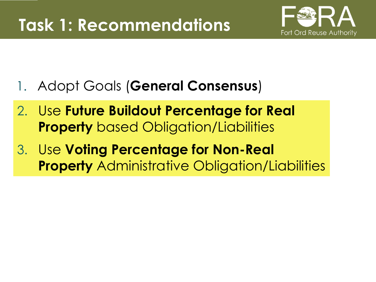

- 1. Adopt Goals (**General Consensus**)
- 2. Use **Future Buildout Percentage for Real Property** based Obligation/Liabilities
- 3. Use **Voting Percentage for Non-Real Property** Administrative Obligation/Liabilities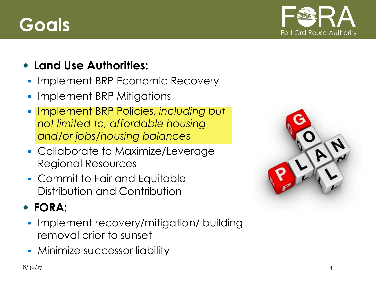# **Goals**



#### **Land Use Authorities:**

- **Implement BRP Economic Recovery**
- **Implement BRP Mitigations**
- Implement BRP Policies, *including but not limited to, affordable housing and/or jobs/housing balances*
- Collaborate to Maximize/Leverage Regional Resources
- Commit to Fair and Equitable Distribution and Contribution

#### **FORA:**

- **Implement recovery/mitigation/ building** removal prior to sunset
- **Minimize successor liability**

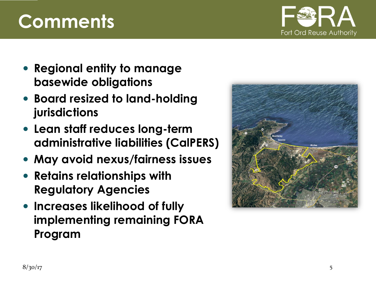# **Comments**

- **Regional entity to manage basewide obligations**
- **Board resized to land-holding jurisdictions**
- **Lean staff reduces long-term administrative liabilities (CalPERS)**
- **May avoid nexus/fairness issues**
- **Retains relationships with Regulatory Agencies**
- **Increases likelihood of fully implementing remaining FORA Program**



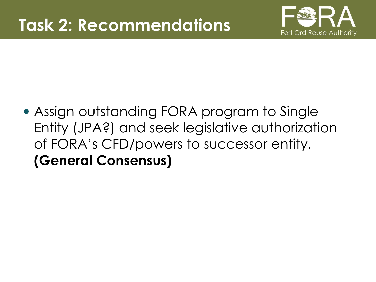

 Assign outstanding FORA program to Single Entity (JPA?) and seek legislative authorization of FORA's CFD/powers to successor entity. **(General Consensus)**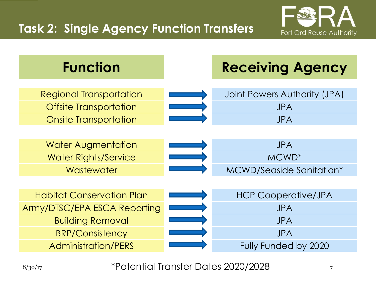#### **Task 2: Single Agency Function Transfers**





8/30/17 7 \*Potential Transfer Dates 2020/2028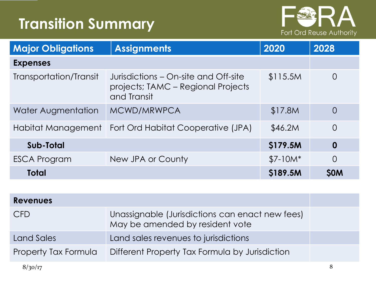## **Transition Summary**



| <b>Major Obligations</b> | <b>Assignments</b>                                                                        | 2020      | 2028             |  |
|--------------------------|-------------------------------------------------------------------------------------------|-----------|------------------|--|
| <b>Expenses</b>          |                                                                                           |           |                  |  |
| Transportation/Transit   | Jurisdictions – On-site and Off-site<br>projects; TAMC – Regional Projects<br>and Transit | \$115.5M  | $\overline{0}$   |  |
| Water Augmentation       | MCWD/MRWPCA                                                                               | \$17.8M   | $\overline{0}$   |  |
| Habitat Management       | Fort Ord Habitat Cooperative (JPA)                                                        | \$46.2M   | 0                |  |
| Sub-Total                |                                                                                           | \$179.5M  | $\boldsymbol{0}$ |  |
| ESCA Program             | New JPA or County                                                                         | $$7-10M*$ | 0                |  |
| <b>Total</b>             |                                                                                           | \$189.5M  | <b>SOM</b>       |  |

| <b>Revenues</b>      |                                                                                    |   |
|----------------------|------------------------------------------------------------------------------------|---|
| <b>CFD</b>           | Unassignable (Jurisdictions can enact new fees)<br>May be amended by resident vote |   |
| Land Sales           | Land sales revenues to jurisdictions                                               |   |
| Property Tax Formula | Different Property Tax Formula by Jurisdiction                                     |   |
| 8/30/17              |                                                                                    | 8 |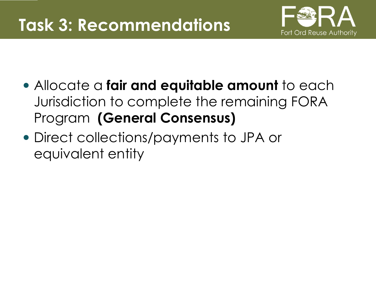

- Allocate a **fair and equitable amount** to each Jurisdiction to complete the remaining FORA Program **(General Consensus)**
- Direct collections/payments to JPA or equivalent entity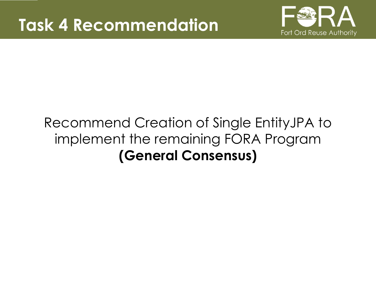

## Recommend Creation of Single EntityJPA to implement the remaining FORA Program **(General Consensus)**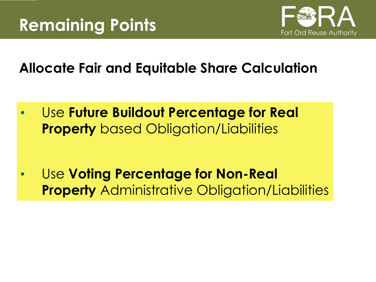

**Allocate Fair and Equitable Share Calculation**

• Use **Future Buildout Percentage for Real Property** based Obligation/Liabilities

• Use **Voting Percentage for Non-Real Property** Administrative Obligation/Liabilities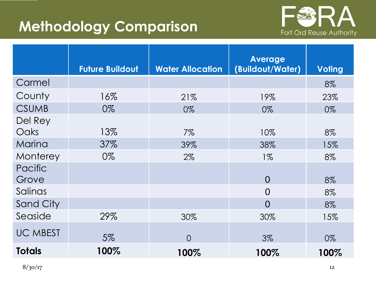### **Methodology Comparison**



|                  |                        |                         | <b>Average</b>   |               |
|------------------|------------------------|-------------------------|------------------|---------------|
|                  | <b>Future Buildout</b> | <b>Water Allocation</b> | (Buildout/Water) | <b>Voting</b> |
| Carmel           |                        |                         |                  | 8%            |
| County           | 16%                    | 21%                     | 19%              | 23%           |
| <b>CSUMB</b>     | 0%                     | 0%                      | 0%               | 0%            |
| Del Rey          |                        |                         |                  |               |
| Oaks             | 13%                    | $7\%$                   | 10%              | 8%            |
| Marina           | 37%                    | 39%                     | 38%              | 15%           |
| Monterey         | 0%                     | $2\%$                   | $1\%$            | 8%            |
| Pacific          |                        |                         |                  |               |
| Grove            |                        |                         | $\overline{0}$   | 8%            |
| Salinas          |                        |                         | 0                | 8%            |
| <b>Sand City</b> |                        |                         | $\overline{0}$   | 8%            |
| Seaside          | 29%                    | 30%                     | 30%              | 15%           |
| <b>UC MBEST</b>  | 5%                     | $\Omega$                | $3\%$            | 0%            |
|                  |                        |                         |                  |               |
| <b>Totals</b>    | 100%                   | 100%                    | 100%             | 100%          |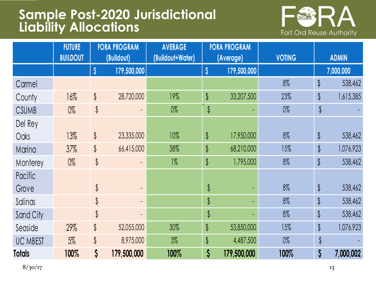#### **Sample Post-2020 Jurisdictional Liability Allocations**



|                 | <b>FUTURE</b>   |                      | <b>FORA PROGRAM</b> | <b>AVERAGE</b>   |                      | <b>FORA PROGRAM</b> |               |               |              |
|-----------------|-----------------|----------------------|---------------------|------------------|----------------------|---------------------|---------------|---------------|--------------|
|                 | <b>BUILDOUT</b> |                      | (Buildout)          | (Buildout+Water) |                      | (Average)           | <b>VOTING</b> |               | <b>ADMIN</b> |
|                 |                 | $\boldsymbol{\zeta}$ | 179,500,000         |                  | $\boldsymbol{\zeta}$ | 179,500,000         |               |               | 7,000,000    |
| Carmel          |                 |                      |                     |                  |                      |                     | 8%            | \$            | 538,462      |
| County          | 16%             | $\oint$              | 28,720,000          | 19%              | $\oint$              | 33,207,500          | 23%           | \$            | 1,615,385    |
| <b>CSUMB</b>    | $0\%$           | $\updownarrow$       | ٠                   | $0\%$            | $\updownarrow$       |                     | $0\%$         | \$            |              |
| Del Rey         |                 |                      |                     |                  |                      |                     |               |               |              |
| Oaks            | 13%             | $\oint$              | 23,335,000          | 10%              | \$                   | 17,950,000          | 8%            | $\oint$       | 538,462      |
| Marina          | 37%             | $\oint$              | 66,415,000          | 38%              | \$                   | 68,210,000          | 15%           | \$            | 1,076,923    |
| Monterey        | $0\%$           | $\oint$              |                     | $1\%$            | $\oint$              | 1,795,000           | 8%            | \$            | 538,462      |
| Pacific         |                 |                      |                     |                  |                      |                     |               |               |              |
| Grove           |                 | \$                   | ٠                   |                  | \$                   |                     | 8%            | $\oint$       | 538,462      |
| Salinas         |                 | \$                   | $\blacksquare$      |                  | $\sqrt[6]{}$         |                     | 8%            | \$            | 538,462      |
| Sand City       |                 | \$                   |                     |                  | $\sqrt[6]{}$         |                     | 8%            | $\frac{1}{2}$ | 538,462      |
| Seaside         | 29%             | $\oint$              | 52,055,000          | 30%              | $\oint$              | 53,850,000          | 15%           | \$            | 1,076,923    |
| <b>UC MBEST</b> | 5%              | \$                   | 8,975,000           | $3\%$            | $\oint$              | 4,487,500           | $0\%$         | \$            |              |
| <b>Totals</b>   | 100%            | $\mathsf{S}$         | 179,500,000         | 100%             | $\boldsymbol{\zeta}$ | 179,500,000         | 100%          | \$            | 7,000,002    |

 $8/30/17$  13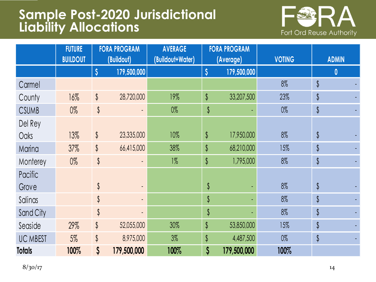#### **Sample Post-2020 Jurisdictional Liability Allocations**



|                 | <b>FUTURE</b>   |                      | <b>FORA PROGRAM</b>      | <b>AVERAGE</b>                |                      | <b>FORA PROGRAM</b> |              |                  |  |
|-----------------|-----------------|----------------------|--------------------------|-------------------------------|----------------------|---------------------|--------------|------------------|--|
|                 | <b>BUILDOUT</b> |                      | (Buildout)               | (Buildout+Water)<br>(Average) |                      | <b>VOTING</b>       | <b>ADMIN</b> |                  |  |
|                 |                 | $\boldsymbol{\zeta}$ | 179,500,000              |                               | $\boldsymbol{\zeta}$ | 179,500,000         |              | $\boldsymbol{0}$ |  |
| Carmel          |                 |                      |                          |                               |                      |                     | 8%           | $\oint$          |  |
| County          | 16%             | $\oint$              | 28,720,000               | 19%                           | $\oint$              | 33,207,500          | 23%          | $\frac{1}{2}$    |  |
| <b>CSUMB</b>    | $0\%$           | $\frac{1}{2}$        |                          | $0\%$                         | \$                   |                     | $0\%$        | $\updownarrow$   |  |
| Del Rey         |                 |                      |                          |                               |                      |                     |              |                  |  |
| Oaks            | 13%             | $\updownarrow$       | 23,335,000               | 10%                           | $\oint$              | 17,950,000          | 8%           | $\oint$          |  |
| Marina          | 37%             | $\oint$              | 66,415,000               | 38%                           | \$                   | 68,210,000          | 15%          | $\frac{1}{2}$    |  |
| Monterey        | $0\%$           | $\updownarrow$       |                          | $1\%$                         | $\updownarrow$       | 1,795,000           | 8%           | $\updownarrow$   |  |
| Pacific         |                 |                      |                          |                               |                      |                     |              |                  |  |
| Grove           |                 | $\frac{1}{2}$        | $\overline{\phantom{0}}$ |                               | \$                   |                     | 8%           | $\oint$          |  |
| Salinas         |                 | $\frac{1}{2}$        |                          |                               | $\frac{1}{2}$        |                     | 8%           | $\frac{1}{2}$    |  |
| Sand City       |                 | $\frac{1}{2}$        |                          |                               | $\updownarrow$       |                     | 8%           | $\updownarrow$   |  |
| Seaside         | 29%             | \$                   | 52,055,000               | 30%                           | $\oint$              | 53,850,000          | 15%          | $\sqrt[6]{}$     |  |
| <b>UC MBEST</b> | $5\%$           | \$                   | 8,975,000                | $3\%$                         | \$                   | 4,487,500           | $0\%$        | $\updownarrow$   |  |
| <b>Totals</b>   | 100%            | \$                   | 179,500,000              | 100%                          | $\boldsymbol{\zeta}$ | 179,500,000         | 100%         |                  |  |

 $8/30/17$  14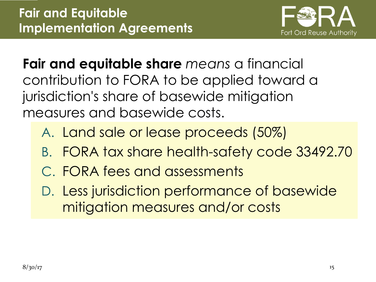

**Fair and equitable share** *means* a financial contribution to FORA to be applied toward a jurisdiction's share of basewide mitigation measures and basewide costs.

- A. Land sale or lease proceeds (50%)
- B. FORA tax share health-safety code 33492.70
- C. FORA fees and assessments
- D. Less jurisdiction performance of basewide mitigation measures and/or costs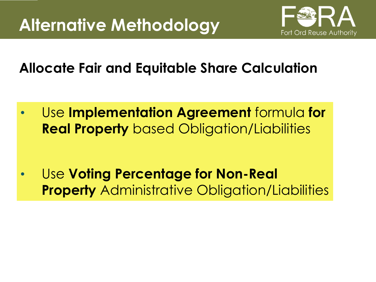

**Allocate Fair and Equitable Share Calculation**

• Use **Implementation Agreement** formula **for Real Property** based Obligation/Liabilities

• Use **Voting Percentage for Non-Real Property** Administrative Obligation/Liabilities